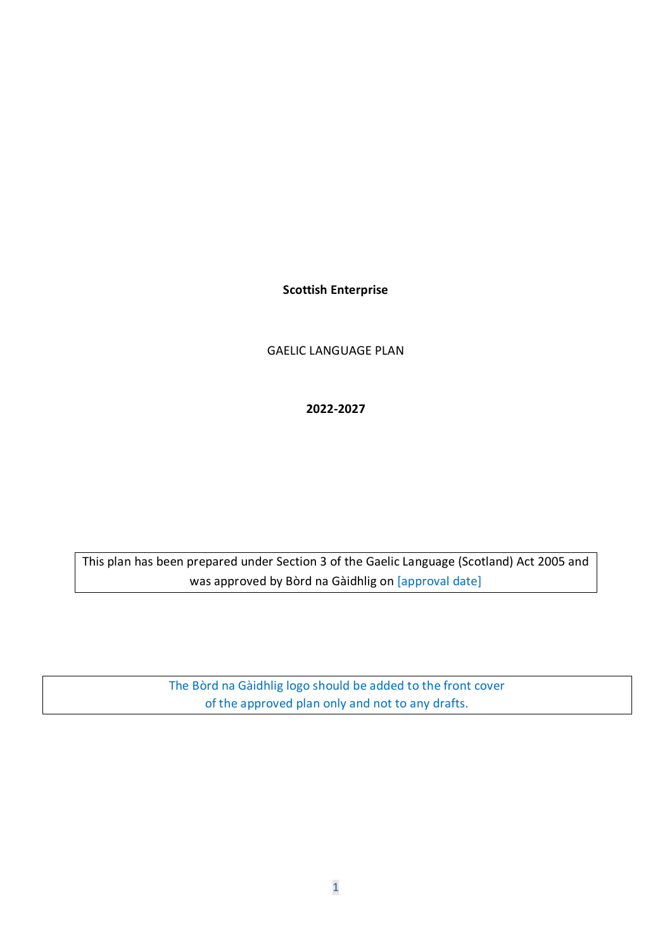#### **Scottish Enterprise**

GAELIC LANGUAGE PLAN

#### **2022-2027**

This plan has been prepared under Section 3 of the Gaelic Language (Scotland) Act 2005 and was approved by Bòrd na Gàidhlig on [approval date]

> The Bòrd na Gàidhlig logo should be added to the front cover of the approved plan only and not to any drafts.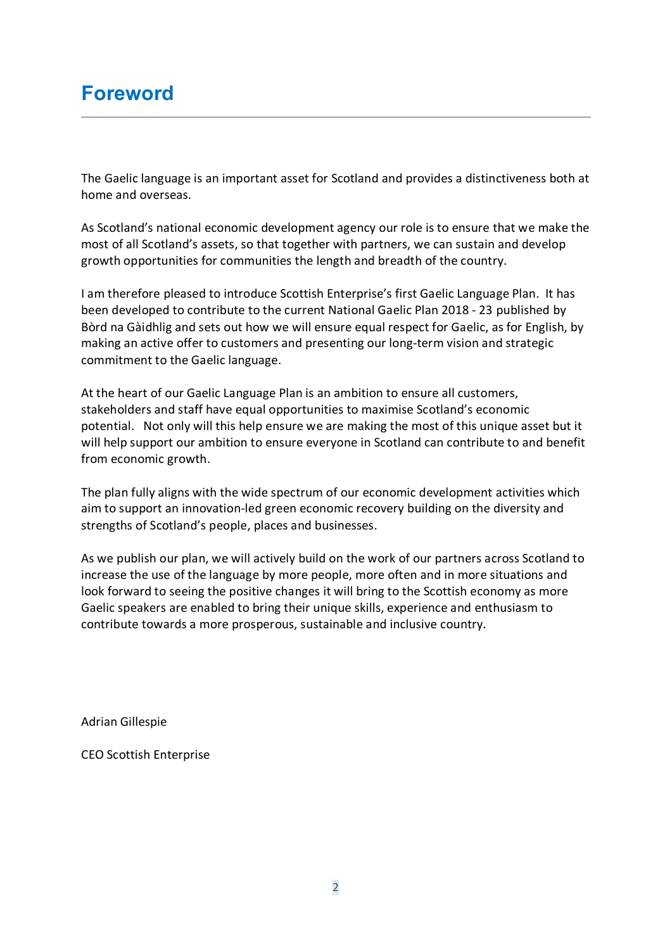# **Foreword**

The Gaelic language is an important asset for Scotland and provides a distinctiveness both at home and overseas.

As Scotland's national economic development agency our role is to ensure that we make the most of all Scotland's assets, so that together with partners, we can sustain and develop growth opportunities for communities the length and breadth of the country.

I am therefore pleased to introduce Scottish Enterprise's first Gaelic Language Plan. It has been developed to contribute to the current National Gaelic Plan 2018 - 23 published by Bòrd na Gàidhlig and sets out how we will ensure equal respect for Gaelic, as for English, by making an active offer to customers and presenting our long-term vision and strategic commitment to the Gaelic language.

At the heart of our Gaelic Language Plan is an ambition to ensure all customers, stakeholders and staff have equal opportunities to maximise Scotland's economic potential. Not only will this help ensure we are making the most of this unique asset but it will help support our ambition to ensure everyone in Scotland can contribute to and benefit from economic growth.

The plan fully aligns with the wide spectrum of our economic development activities which aim to support an innovation-led green economic recovery building on the diversity and strengths of Scotland's people, places and businesses.

As we publish our plan, we will actively build on the work of our partners across Scotland to increase the use of the language by more people, more often and in more situations and look forward to seeing the positive changes it will bring to the Scottish economy as more Gaelic speakers are enabled to bring their unique skills, experience and enthusiasm to contribute towards a more prosperous, sustainable and inclusive country.

Adrian Gillespie

CEO Scottish Enterprise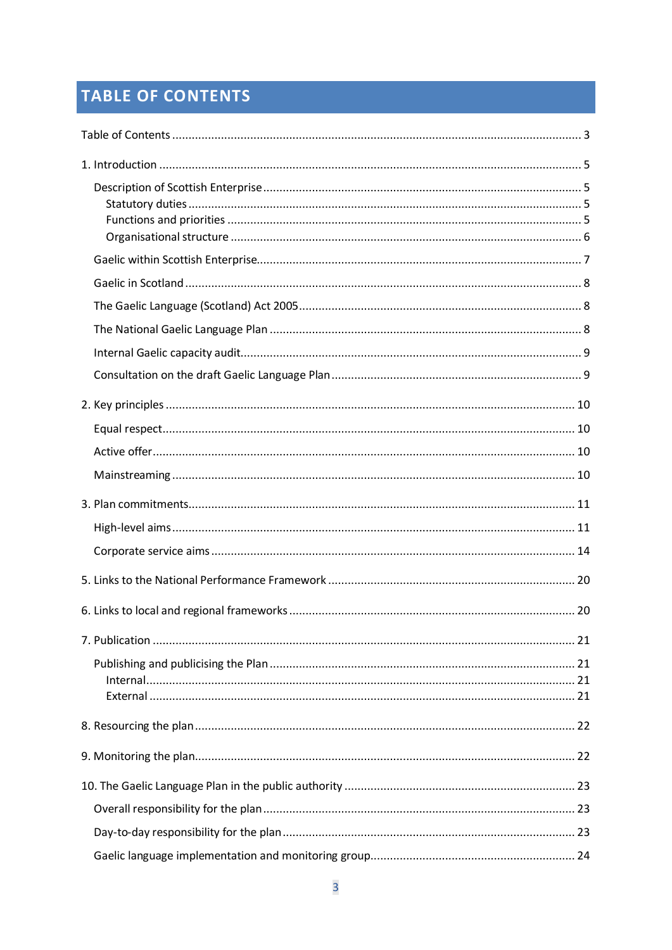# <span id="page-2-0"></span>**TABLE OF CONTENTS**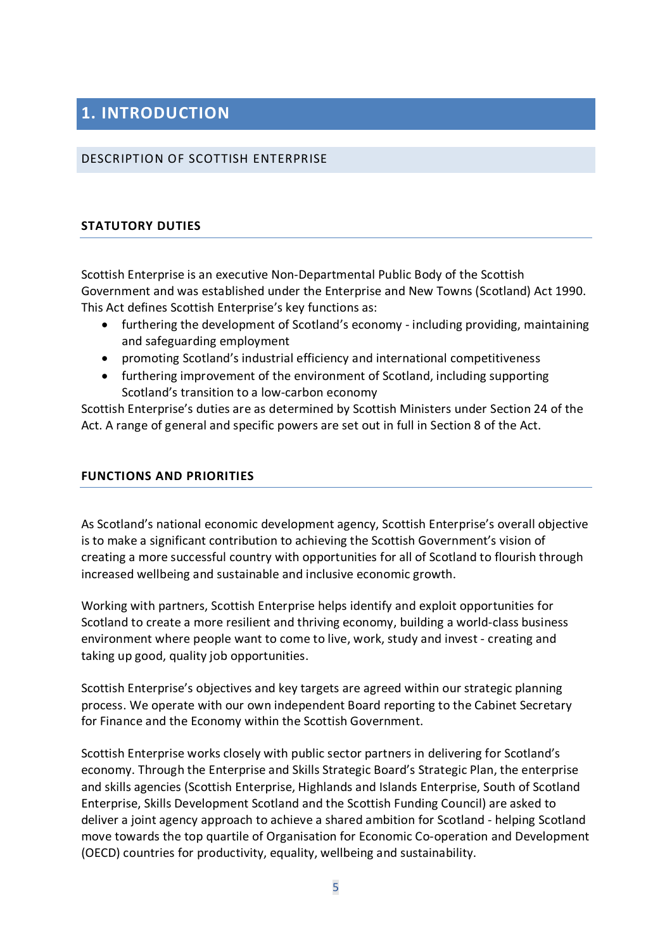# <span id="page-4-0"></span>**1. INTRODUCTION**

#### <span id="page-4-1"></span>DESCRIPTION OF SCOTTISH ENTERPRISE

#### <span id="page-4-2"></span>**STATUTORY DUTIES**

Scottish Enterprise is an executive Non-Departmental Public Body of the Scottish Government and was established under the Enterprise and New Towns (Scotland) Act 1990. This Act defines Scottish Enterprise's key functions as:

- furthering the development of Scotland's economy including providing, maintaining and safeguarding employment
- promoting Scotland's industrial efficiency and international competitiveness
- furthering improvement of the environment of Scotland, including supporting Scotland's transition to a low-carbon economy

Scottish Enterprise's duties are as determined by Scottish Ministers under Section 24 of the Act. A range of general and specific powers are set out in full in Section 8 of the Act.

#### <span id="page-4-3"></span>**FUNCTIONS AND PRIORITIES**

As Scotland's national economic development agency, Scottish Enterprise's overall objective is to make a significant contribution to achieving the Scottish Government's vision of creating a more successful country with opportunities for all of Scotland to flourish through increased wellbeing and sustainable and inclusive economic growth.

Working with partners, Scottish Enterprise helps identify and exploit opportunities for Scotland to create a more resilient and thriving economy, building a world-class business environment where people want to come to live, work, study and invest - creating and taking up good, quality job opportunities.

Scottish Enterprise's objectives and key targets are agreed within our strategic planning process. We operate with our own independent Board reporting to the Cabinet Secretary for Finance and the Economy within the Scottish Government.

Scottish Enterprise works closely with public sector partners in delivering for Scotland's economy. Through the Enterprise and Skills Strategic Board's Strategic Plan, the enterprise and skills agencies (Scottish Enterprise, Highlands and Islands Enterprise, South of Scotland Enterprise, Skills Development Scotland and the Scottish Funding Council) are asked to deliver a joint agency approach to achieve a shared ambition for Scotland - helping Scotland move towards the top quartile of Organisation for Economic Co-operation and Development (OECD) countries for productivity, equality, wellbeing and sustainability.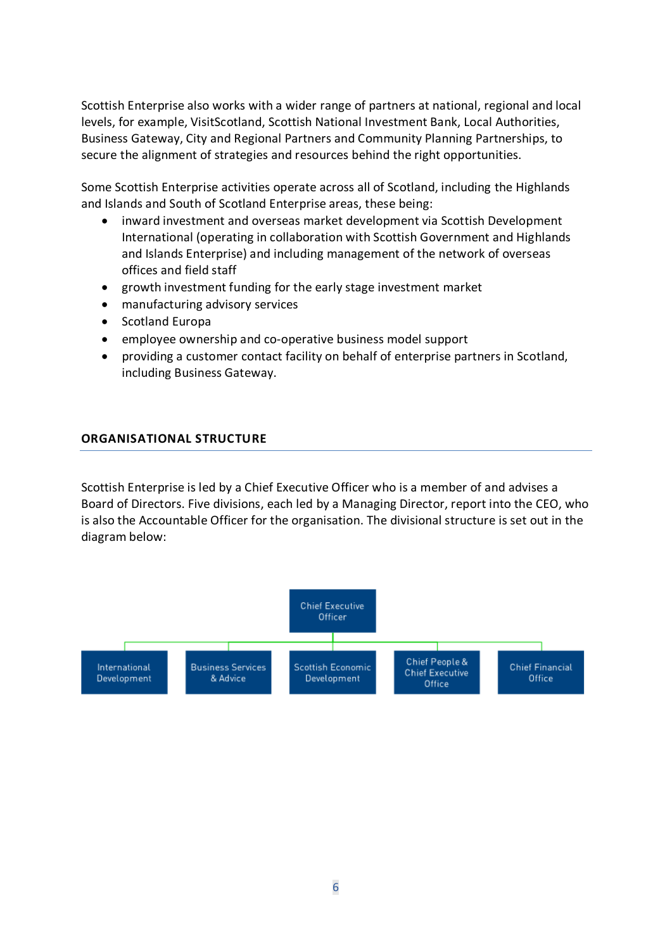Scottish Enterprise also works with a wider range of partners at national, regional and local levels, for example, VisitScotland, Scottish National Investment Bank, Local Authorities, Business Gateway, City and Regional Partners and Community Planning Partnerships, to secure the alignment of strategies and resources behind the right opportunities.

Some Scottish Enterprise activities operate across all of Scotland, including the Highlands and Islands and South of Scotland Enterprise areas, these being:

- inward investment and overseas market development via Scottish Development International (operating in collaboration with Scottish Government and Highlands and Islands Enterprise) and including management of the network of overseas offices and field staff
- growth investment funding for the early stage investment market
- manufacturing advisory services
- Scotland Europa
- employee ownership and co-operative business model support
- providing a customer contact facility on behalf of enterprise partners in Scotland, including Business Gateway.

#### <span id="page-5-0"></span>**ORGANISATIONAL STRUCTURE**

Scottish Enterprise is led by a Chief Executive Officer who is a member of and advises a Board of Directors. Five divisions, each led by a Managing Director, report into the CEO, who is also the Accountable Officer for the organisation. The divisional structure is set out in the diagram below:

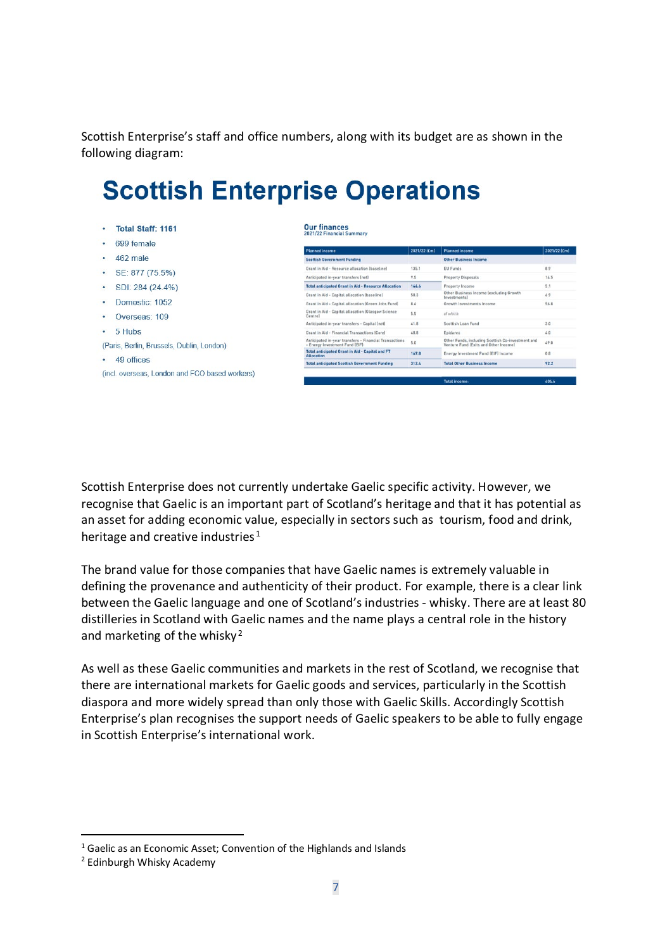Scottish Enterprise's staff and office numbers, along with its budget are as shown in the following diagram:

# **Scottish Enterprise Operations**

| ٠ | Total Staff: 1161                              | <b>Our finances</b><br>2021/22 Financial Summary                                         |              |                                                                                            |              |
|---|------------------------------------------------|------------------------------------------------------------------------------------------|--------------|--------------------------------------------------------------------------------------------|--------------|
| ٠ | 699 female                                     | <b>Planned income</b>                                                                    | 2021/22 [Cm] | <b>Planned income</b>                                                                      | 2021/22 [Cm] |
|   | 462 male                                       | <b>Scottish Government Funding</b>                                                       |              | <b>Other Business Income</b>                                                               |              |
|   |                                                | Grant in Aid - Resource allocation [baseline]                                            | 135.1        | <b>EU Funds</b>                                                                            | 8.9          |
| ٠ | SE: 877 (75.5%)                                | Anticipated in-year transfers (net)                                                      | 9.5          | <b>Property Disposals</b>                                                                  | 14.5         |
| ٠ | SDI: 284 (24.4%)                               | <b>Total anticipated Grant in Aid - Resource Allocation</b>                              | 144.6        | Property Income                                                                            | 5.1          |
|   |                                                | Grant in Aid - Capital allocation (baseline)                                             | 58.3         | Other Business Income lexcluding Growth<br>Investments                                     | 6.9.         |
| ٠ | Domestic: 1052                                 | Grant in Aid - Capital allocation (Green Jobs Fund)                                      | 8.4          | Growth Investments Income                                                                  | 56.8         |
| ٠ | Overseas: 109                                  | Grant in Aid - Capital allocation (Glasgow Science<br>Centrel                            | 5.5          | of which-                                                                                  |              |
|   |                                                | Anticipated in-year transfers - Capital Inet]                                            | 41.8         | Scottish Loan Fund                                                                         | 3.0          |
| ٠ | 5 Hubs                                         | Grant in Aid - Financial Transactions (Core)                                             | 48.8         | Epidarex                                                                                   | 4.0          |
|   | (Paris, Berlin, Brussels, Dublin, London)      | Anticipated in-year transfers - Financial Transactions<br>- Energy Investment Fund (EIF) | 5.0          | Other Funds, including Scottish Co-investment and<br>Venture Fund (Exits and Other Income) | 49.0         |
|   |                                                | <b>Total anticipated Grant in Aid - Capital and FT</b><br><b>Allocation</b>              | 167.8        | Energy Investment Fund (EIF) Income                                                        | 0.8          |
| ٠ | 49 offices                                     | <b>Total anticipated Scottish Government Funding</b>                                     | 312.4        | <b>Total Other Business Income</b>                                                         | 92.2         |
|   | (incl. overseas, London and FCO based workers) |                                                                                          |              |                                                                                            |              |
|   |                                                |                                                                                          |              | <b>Total income:</b>                                                                       | 404.6        |

<span id="page-6-0"></span>Scottish Enterprise does not currently undertake Gaelic specific activity. However, we recognise that Gaelic is an important part of Scotland's heritage and that it has potential as an asset for adding economic value, especially in sectors such as tourism, food and drink, heritage and creative industries<sup>1</sup>

The brand value for those companies that have Gaelic names is extremely valuable in defining the provenance and authenticity of their product. For example, there is a clear link between the Gaelic language and one of Scotland's industries - whisky. There are at least 80 distilleries in Scotland with Gaelic names and the name plays a central role in the history and marketing of the whisky<sup>2</sup>

As well as these Gaelic communities and markets in the rest of Scotland, we recognise that there are international markets for Gaelic goods and services, particularly in the Scottish diaspora and more widely spread than only those with Gaelic Skills. Accordingly Scottish Enterprise's plan recognises the support needs of Gaelic speakers to be able to fully engage in Scottish Enterprise's international work.

<span id="page-6-1"></span><sup>&</sup>lt;sup>1</sup> Gaelic as an Economic Asset; Convention of the Highlands and Islands

<span id="page-6-2"></span><sup>2</sup> Edinburgh Whisky Academy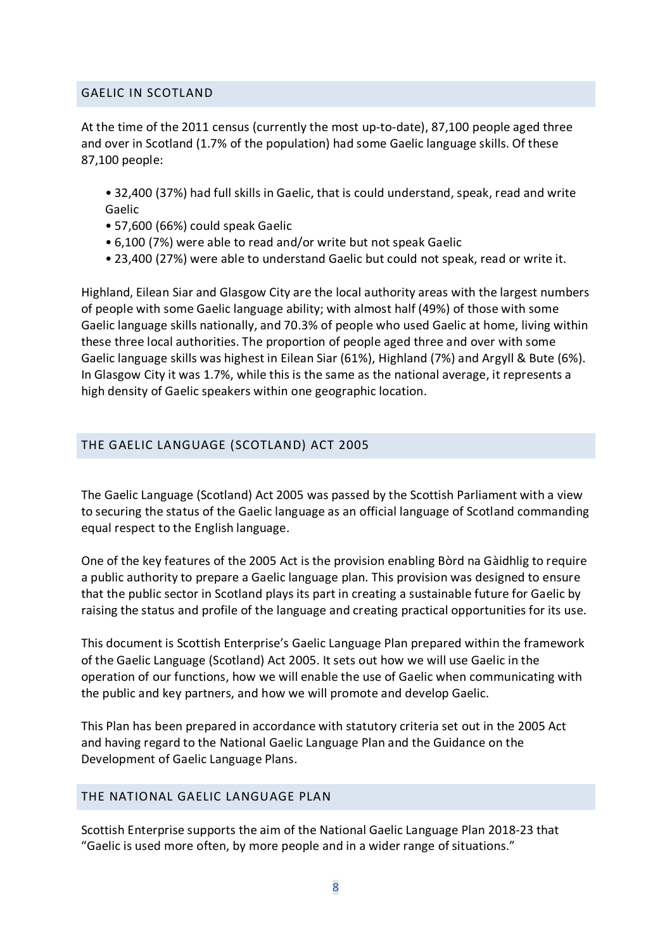#### <span id="page-7-0"></span>GAELIC IN SCOTLAND

At the time of the 2011 census (currently the most up-to-date), 87,100 people aged three and over in Scotland (1.7% of the population) had some Gaelic language skills. Of these 87,100 people:

• 32,400 (37%) had full skills in Gaelic, that is could understand, speak, read and write Gaelic

- 57,600 (66%) could speak Gaelic
- 6,100 (7%) were able to read and/or write but not speak Gaelic
- 23,400 (27%) were able to understand Gaelic but could not speak, read or write it.

Highland, Eilean Siar and Glasgow City are the local authority areas with the largest numbers of people with some Gaelic language ability; with almost half (49%) of those with some Gaelic language skills nationally, and 70.3% of people who used Gaelic at home, living within these three local authorities. The proportion of people aged three and over with some Gaelic language skills was highest in Eilean Siar (61%), Highland (7%) and Argyll & Bute (6%). In Glasgow City it was 1.7%, while this is the same as the national average, it represents a high density of Gaelic speakers within one geographic location.

#### <span id="page-7-1"></span>THE GAELIC LANGUAGE (SCOTLAND) ACT 2005

The Gaelic Language (Scotland) Act 2005 was passed by the Scottish Parliament with a view to securing the status of the Gaelic language as an official language of Scotland commanding equal respect to the English language.

One of the key features of the 2005 Act is the provision enabling Bòrd na Gàidhlig to require a public authority to prepare a Gaelic language plan. This provision was designed to ensure that the public sector in Scotland plays its part in creating a sustainable future for Gaelic by raising the status and profile of the language and creating practical opportunities for its use.

This document is Scottish Enterprise's Gaelic Language Plan prepared within the framework of the Gaelic Language (Scotland) Act 2005. It sets out how we will use Gaelic in the operation of our functions, how we will enable the use of Gaelic when communicating with the public and key partners, and how we will promote and develop Gaelic.

This Plan has been prepared in accordance with statutory criteria set out in the 2005 Act and having regard to the National Gaelic Language Plan and the Guidance on the Development of Gaelic Language Plans.

#### <span id="page-7-2"></span>THE NATIONAL GAELIC LANGUAGE PLAN

Scottish Enterprise supports the aim of the National Gaelic Language Plan 2018-23 that "Gaelic is used more often, by more people and in a wider range of situations."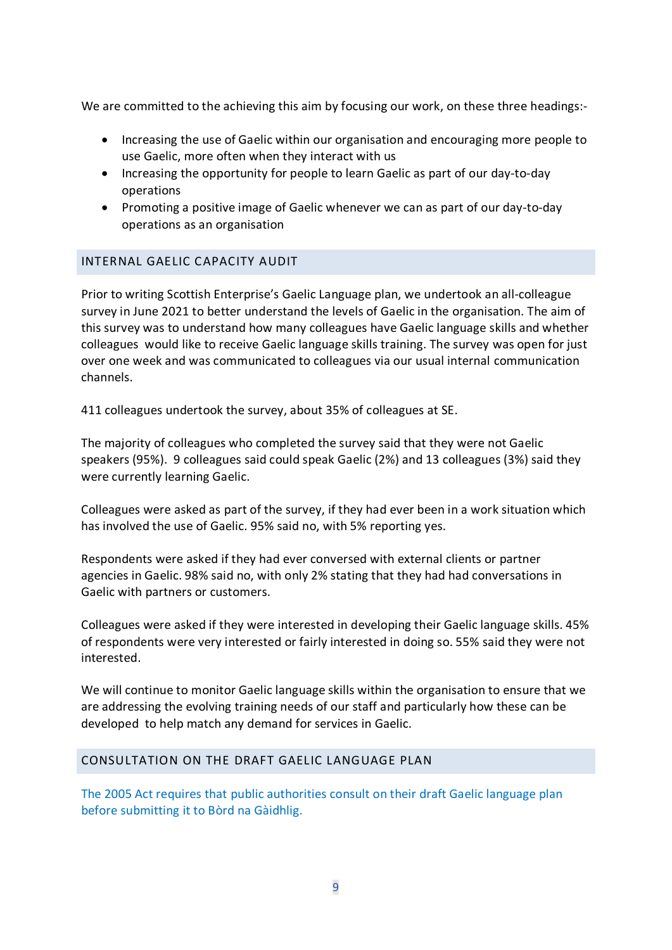We are committed to the achieving this aim by focusing our work, on these three headings:-

- Increasing the use of Gaelic within our organisation and encouraging more people to use Gaelic, more often when they interact with us
- Increasing the opportunity for people to learn Gaelic as part of our day-to-day operations
- Promoting a positive image of Gaelic whenever we can as part of our day-to-day operations as an organisation

#### <span id="page-8-0"></span>INTERNAL GAELIC CAPACITY AUDIT

Prior to writing Scottish Enterprise's Gaelic Language plan, we undertook an all-colleague survey in June 2021 to better understand the levels of Gaelic in the organisation. The aim of this survey was to understand how many colleagues have Gaelic language skills and whether colleagues would like to receive Gaelic language skills training. The survey was open for just over one week and was communicated to colleagues via our usual internal communication channels.

411 colleagues undertook the survey, about 35% of colleagues at SE.

The majority of colleagues who completed the survey said that they were not Gaelic speakers (95%). 9 colleagues said could speak Gaelic (2%) and 13 colleagues (3%) said they were currently learning Gaelic.

Colleagues were asked as part of the survey, if they had ever been in a work situation which has involved the use of Gaelic. 95% said no, with 5% reporting yes.

Respondents were asked if they had ever conversed with external clients or partner agencies in Gaelic. 98% said no, with only 2% stating that they had had conversations in Gaelic with partners or customers.

Colleagues were asked if they were interested in developing their Gaelic language skills. 45% of respondents were very interested or fairly interested in doing so. 55% said they were not interested.

We will continue to monitor Gaelic language skills within the organisation to ensure that we are addressing the evolving training needs of our staff and particularly how these can be developed to help match any demand for services in Gaelic.

#### <span id="page-8-1"></span>CONSULTATION ON THE DRAFT GAELIC LANGUAGE PLAN

The 2005 Act requires that public authorities consult on their draft Gaelic language plan before submitting it to Bòrd na Gàidhlig.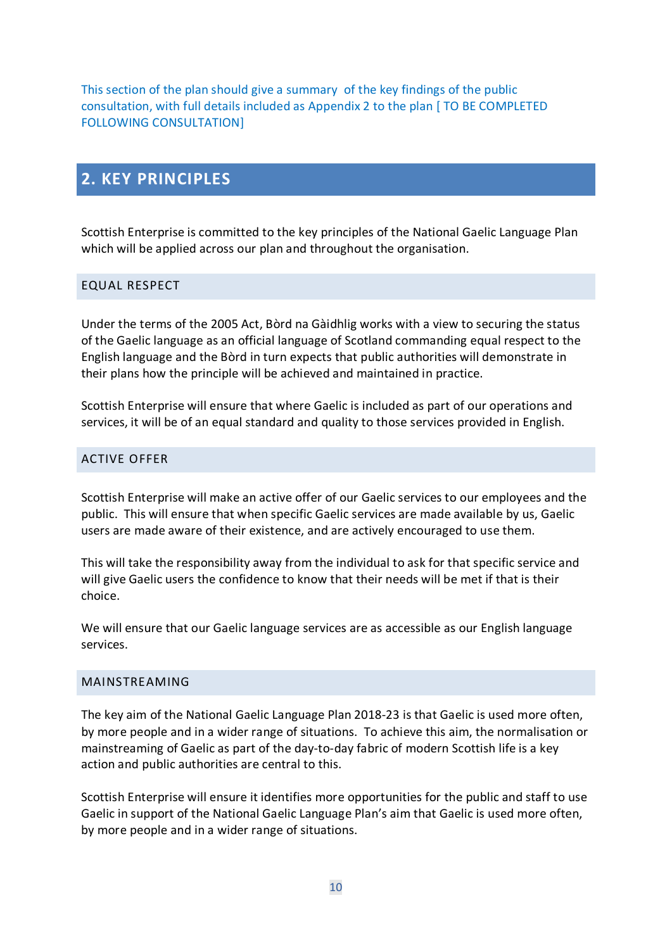This section of the plan should give a summary of the key findings of the public consultation, with full details included as Appendix 2 to the plan [ TO BE COMPLETED FOLLOWING CONSULTATION]

### <span id="page-9-0"></span>**2. KEY PRINCIPLES**

Scottish Enterprise is committed to the key principles of the National Gaelic Language Plan which will be applied across our plan and throughout the organisation.

#### <span id="page-9-1"></span>EQUAL RESPECT

Under the terms of the 2005 Act, Bòrd na Gàidhlig works with a view to securing the status of the Gaelic language as an official language of Scotland commanding equal respect to the English language and the Bòrd in turn expects that public authorities will demonstrate in their plans how the principle will be achieved and maintained in practice.

Scottish Enterprise will ensure that where Gaelic is included as part of our operations and services, it will be of an equal standard and quality to those services provided in English.

#### <span id="page-9-2"></span>ACTIVE OFFER

Scottish Enterprise will make an active offer of our Gaelic services to our employees and the public. This will ensure that when specific Gaelic services are made available by us, Gaelic users are made aware of their existence, and are actively encouraged to use them.

This will take the responsibility away from the individual to ask for that specific service and will give Gaelic users the confidence to know that their needs will be met if that is their choice.

We will ensure that our Gaelic language services are as accessible as our English language services.

#### <span id="page-9-3"></span>MAINSTREAMING

The key aim of the National Gaelic Language Plan 2018-23 is that Gaelic is used more often, by more people and in a wider range of situations.To achieve this aim, the normalisation or mainstreaming of Gaelic as part of the day-to-day fabric of modern Scottish life is a key action and public authorities are central to this.

Scottish Enterprise will ensure it identifies more opportunities for the public and staff to use Gaelic in support of the National Gaelic Language Plan's aim that Gaelic is used more often, by more people and in a wider range of situations.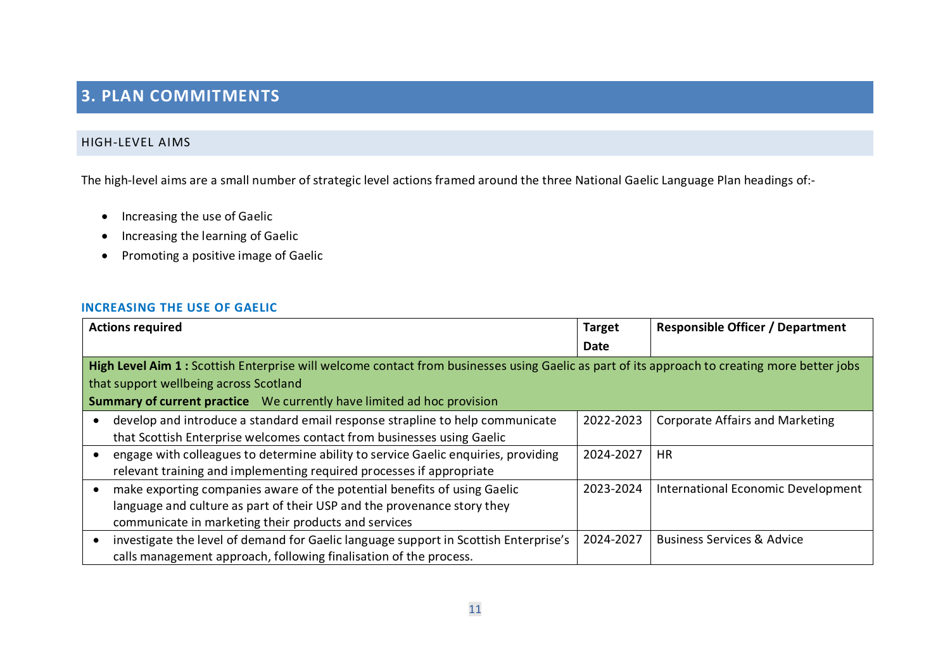# **3. PLAN COMMITMENTS**

#### HIGH-LEVEL AIMS

The high-level aims are a small number of strategic level actions framed around the three National Gaelic Language Plan headings of:-

- Increasing the use of Gaelic
- Increasing the learning of Gaelic
- Promoting a positive image of Gaelic

#### **INCREASING THE USE OF GAELIC**

<span id="page-10-1"></span><span id="page-10-0"></span>

|   | <b>Actions required</b>                                                                                                                      | <b>Target</b> | <b>Responsible Officer / Department</b> |
|---|----------------------------------------------------------------------------------------------------------------------------------------------|---------------|-----------------------------------------|
|   |                                                                                                                                              | <b>Date</b>   |                                         |
|   | High Level Aim 1: Scottish Enterprise will welcome contact from businesses using Gaelic as part of its approach to creating more better jobs |               |                                         |
|   | that support wellbeing across Scotland                                                                                                       |               |                                         |
|   | <b>Summary of current practice</b> We currently have limited ad hoc provision                                                                |               |                                         |
| ٠ | develop and introduce a standard email response strapline to help communicate                                                                | 2022-2023     | <b>Corporate Affairs and Marketing</b>  |
|   | that Scottish Enterprise welcomes contact from businesses using Gaelic                                                                       |               |                                         |
|   | engage with colleagues to determine ability to service Gaelic enquiries, providing                                                           | 2024-2027     | <b>HR</b>                               |
|   | relevant training and implementing required processes if appropriate                                                                         |               |                                         |
|   | make exporting companies aware of the potential benefits of using Gaelic                                                                     | 2023-2024     | International Economic Development      |
|   | language and culture as part of their USP and the provenance story they                                                                      |               |                                         |
|   | communicate in marketing their products and services                                                                                         |               |                                         |
|   | investigate the level of demand for Gaelic language support in Scottish Enterprise's                                                         | 2024-2027     | <b>Business Services &amp; Advice</b>   |
|   | calls management approach, following finalisation of the process.                                                                            |               |                                         |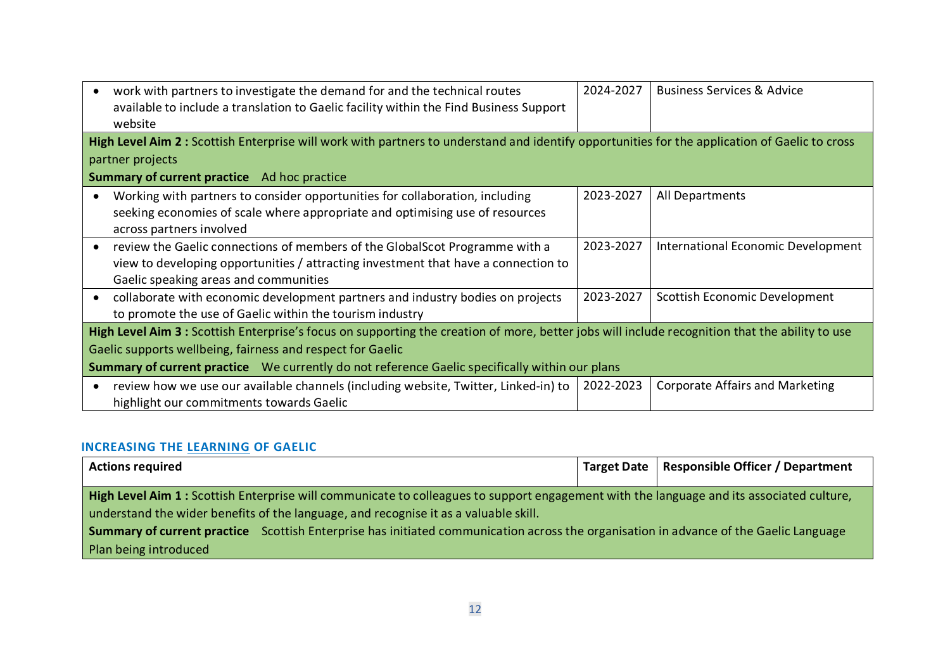| work with partners to investigate the demand for and the technical routes<br>$\bullet$<br>available to include a translation to Gaelic facility within the Find Business Support<br>website                             | 2024-2027 | <b>Business Services &amp; Advice</b>  |  |  |
|-------------------------------------------------------------------------------------------------------------------------------------------------------------------------------------------------------------------------|-----------|----------------------------------------|--|--|
| High Level Aim 2 : Scottish Enterprise will work with partners to understand and identify opportunities for the application of Gaelic to cross                                                                          |           |                                        |  |  |
| partner projects                                                                                                                                                                                                        |           |                                        |  |  |
| <b>Summary of current practice</b> Ad hoc practice                                                                                                                                                                      |           |                                        |  |  |
| Working with partners to consider opportunities for collaboration, including<br>$\bullet$<br>seeking economies of scale where appropriate and optimising use of resources<br>across partners involved                   | 2023-2027 | All Departments                        |  |  |
| review the Gaelic connections of members of the GlobalScot Programme with a<br>$\bullet$<br>view to developing opportunities / attracting investment that have a connection to<br>Gaelic speaking areas and communities | 2023-2027 | International Economic Development     |  |  |
| collaborate with economic development partners and industry bodies on projects<br>$\bullet$<br>to promote the use of Gaelic within the tourism industry                                                                 | 2023-2027 | Scottish Economic Development          |  |  |
| High Level Aim 3 : Scottish Enterprise's focus on supporting the creation of more, better jobs will include recognition that the ability to use                                                                         |           |                                        |  |  |
| Gaelic supports wellbeing, fairness and respect for Gaelic                                                                                                                                                              |           |                                        |  |  |
| <b>Summary of current practice</b> We currently do not reference Gaelic specifically within our plans                                                                                                                   |           |                                        |  |  |
| review how we use our available channels (including website, Twitter, Linked-in) to<br>$\bullet$<br>highlight our commitments towards Gaelic                                                                            | 2022-2023 | <b>Corporate Affairs and Marketing</b> |  |  |

#### **INCREASING THE LEARNING OF GAELIC**

| <b>Actions required</b>                                                                                                                   | <b>Target Date</b> | Responsible Officer / Department |  |  |
|-------------------------------------------------------------------------------------------------------------------------------------------|--------------------|----------------------------------|--|--|
| High Level Aim 1 : Scottish Enterprise will communicate to colleagues to support engagement with the language and its associated culture, |                    |                                  |  |  |
| understand the wider benefits of the language, and recognise it as a valuable skill.                                                      |                    |                                  |  |  |
| Summary of current practice Scottish Enterprise has initiated communication across the organisation in advance of the Gaelic Language     |                    |                                  |  |  |
| Plan being introduced                                                                                                                     |                    |                                  |  |  |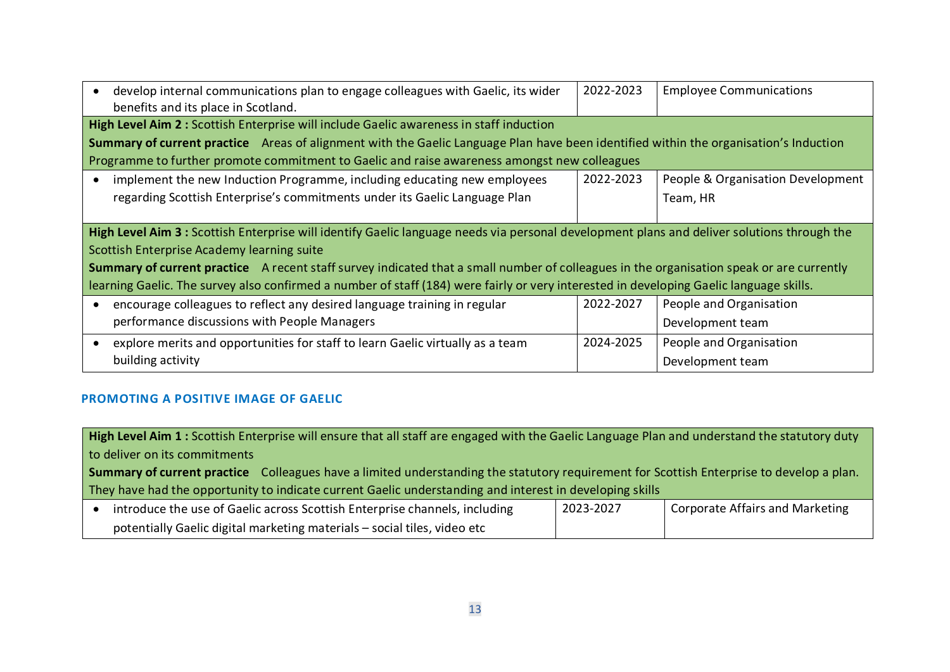| develop internal communications plan to engage colleagues with Gaelic, its wider<br>benefits and its place in Scotland.                     | 2022-2023 | <b>Employee Communications</b>    |
|---------------------------------------------------------------------------------------------------------------------------------------------|-----------|-----------------------------------|
| High Level Aim 2 : Scottish Enterprise will include Gaelic awareness in staff induction                                                     |           |                                   |
| Summary of current practice Areas of alignment with the Gaelic Language Plan have been identified within the organisation's Induction       |           |                                   |
| Programme to further promote commitment to Gaelic and raise awareness amongst new colleagues                                                |           |                                   |
| implement the new Induction Programme, including educating new employees                                                                    | 2022-2023 | People & Organisation Development |
| regarding Scottish Enterprise's commitments under its Gaelic Language Plan                                                                  |           | Team, HR                          |
|                                                                                                                                             |           |                                   |
| High Level Aim 3 : Scottish Enterprise will identify Gaelic language needs via personal development plans and deliver solutions through the |           |                                   |
| Scottish Enterprise Academy learning suite                                                                                                  |           |                                   |
| Summary of current practice A recent staff survey indicated that a small number of colleagues in the organisation speak or are currently    |           |                                   |
| learning Gaelic. The survey also confirmed a number of staff (184) were fairly or very interested in developing Gaelic language skills.     |           |                                   |
| encourage colleagues to reflect any desired language training in regular                                                                    | 2022-2027 | People and Organisation           |
| performance discussions with People Managers                                                                                                |           | Development team                  |
| explore merits and opportunities for staff to learn Gaelic virtually as a team                                                              | 2024-2025 | People and Organisation           |
| building activity                                                                                                                           |           | Development team                  |

#### **PROMOTING A POSITIVE IMAGE OF GAELIC**

High Level Aim 1 : Scottish Enterprise will ensure that all staff are engaged with the Gaelic Language Plan and understand the statutory duty to deliver on its commitments

**Summary of current practice** Colleagues have a limited understanding the statutory requirement for Scottish Enterprise to develop a plan. They have had the opportunity to indicate current Gaelic understanding and interest in developing skills

| introduce the use of Gaelic across Scottish Enterprise channels, including | 2023-2027 | Corporate Affairs and Marketing |
|----------------------------------------------------------------------------|-----------|---------------------------------|
| potentially Gaelic digital marketing materials - social tiles, video etc   |           |                                 |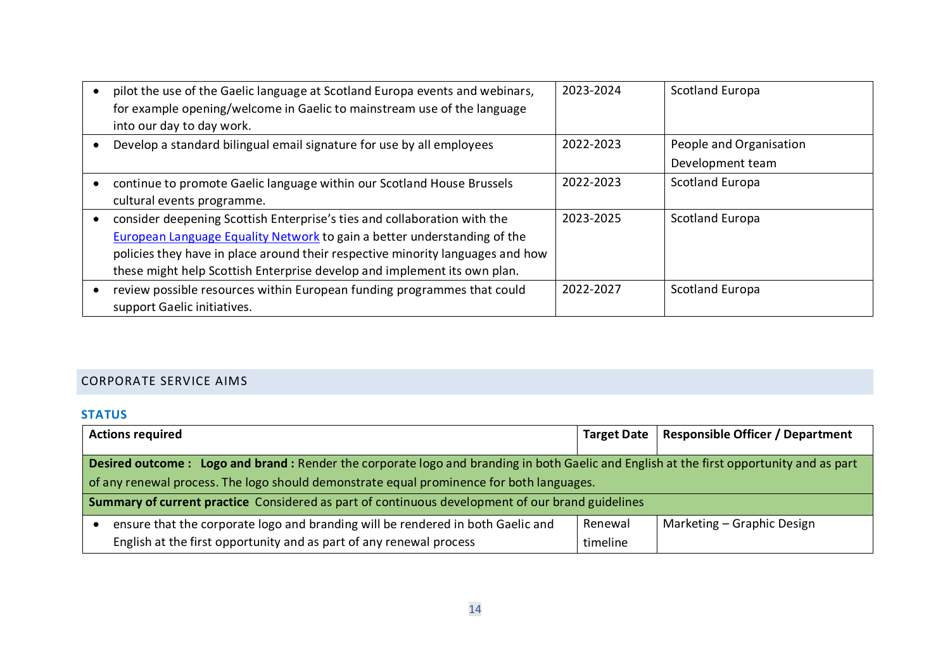| pilot the use of the Gaelic language at Scotland Europa events and webinars,<br>for example opening/welcome in Gaelic to mainstream use of the language<br>into our day to day work. | 2023-2024 | <b>Scotland Europa</b>  |
|--------------------------------------------------------------------------------------------------------------------------------------------------------------------------------------|-----------|-------------------------|
| Develop a standard bilingual email signature for use by all employees                                                                                                                | 2022-2023 | People and Organisation |
|                                                                                                                                                                                      |           | Development team        |
| continue to promote Gaelic language within our Scotland House Brussels                                                                                                               | 2022-2023 | <b>Scotland Europa</b>  |
| cultural events programme.                                                                                                                                                           |           |                         |
| consider deepening Scottish Enterprise's ties and collaboration with the                                                                                                             | 2023-2025 | Scotland Europa         |
| European Language Equality Network to gain a better understanding of the                                                                                                             |           |                         |
| policies they have in place around their respective minority languages and how                                                                                                       |           |                         |
| these might help Scottish Enterprise develop and implement its own plan.                                                                                                             |           |                         |
| review possible resources within European funding programmes that could                                                                                                              | 2022-2027 | <b>Scotland Europa</b>  |
| support Gaelic initiatives.                                                                                                                                                          |           |                         |

#### CORPORATE SERVICE AIMS

#### **STATUS**

<span id="page-13-0"></span>

| <b>Actions required</b>                                                                                                                                | <b>Target Date</b>  | <b>Responsible Officer / Department</b> |  |  |
|--------------------------------------------------------------------------------------------------------------------------------------------------------|---------------------|-----------------------------------------|--|--|
| Desired outcome: Logo and brand: Render the corporate logo and branding in both Gaelic and English at the first opportunity and as part                |                     |                                         |  |  |
| of any renewal process. The logo should demonstrate equal prominence for both languages.                                                               |                     |                                         |  |  |
| Summary of current practice Considered as part of continuous development of our brand guidelines                                                       |                     |                                         |  |  |
| ensure that the corporate logo and branding will be rendered in both Gaelic and<br>English at the first opportunity and as part of any renewal process | Renewal<br>timeline | Marketing – Graphic Design              |  |  |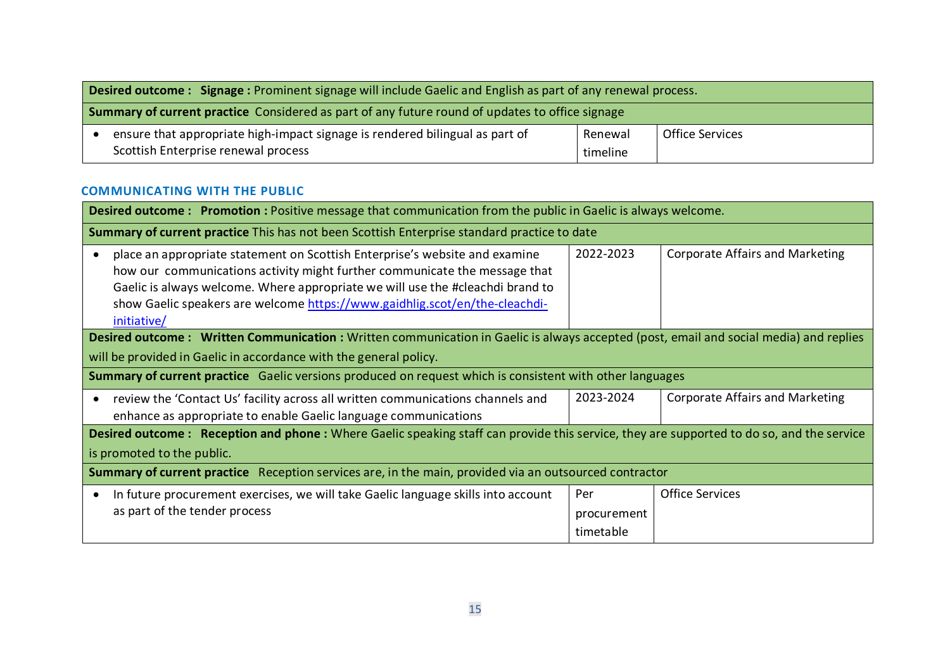| Desired outcome: Signage: Prominent signage will include Gaelic and English as part of any renewal process. |          |                        |  |  |
|-------------------------------------------------------------------------------------------------------------|----------|------------------------|--|--|
| <b>Summary of current practice</b> Considered as part of any future round of updates to office signage      |          |                        |  |  |
| ensure that appropriate high-impact signage is rendered bilingual as part of                                | Renewal  | <b>Office Services</b> |  |  |
| Scottish Enterprise renewal process                                                                         | timeline |                        |  |  |

#### **COMMUNICATING WITH THE PUBLIC**

| Desired outcome: Promotion: Positive message that communication from the public in Gaelic is always welcome.                                                                                                                                                                                                                                           |                                 |                                        |  |  |
|--------------------------------------------------------------------------------------------------------------------------------------------------------------------------------------------------------------------------------------------------------------------------------------------------------------------------------------------------------|---------------------------------|----------------------------------------|--|--|
| <b>Summary of current practice</b> This has not been Scottish Enterprise standard practice to date                                                                                                                                                                                                                                                     |                                 |                                        |  |  |
| place an appropriate statement on Scottish Enterprise's website and examine<br>$\bullet$<br>how our communications activity might further communicate the message that<br>Gaelic is always welcome. Where appropriate we will use the #cleachdi brand to<br>show Gaelic speakers are welcome https://www.gaidhlig.scot/en/the-cleachdi-<br>initiative/ | 2022-2023                       | <b>Corporate Affairs and Marketing</b> |  |  |
| Desired outcome: Written Communication: Written communication in Gaelic is always accepted (post, email and social media) and replies<br>will be provided in Gaelic in accordance with the general policy.                                                                                                                                             |                                 |                                        |  |  |
| <b>Summary of current practice</b> Gaelic versions produced on request which is consistent with other languages                                                                                                                                                                                                                                        |                                 |                                        |  |  |
| review the 'Contact Us' facility across all written communications channels and<br>٠<br>enhance as appropriate to enable Gaelic language communications                                                                                                                                                                                                | 2023-2024                       | <b>Corporate Affairs and Marketing</b> |  |  |
| <b>Desired outcome:</b> Reception and phone: Where Gaelic speaking staff can provide this service, they are supported to do so, and the service                                                                                                                                                                                                        |                                 |                                        |  |  |
| is promoted to the public.                                                                                                                                                                                                                                                                                                                             |                                 |                                        |  |  |
| <b>Summary of current practice</b> Reception services are, in the main, provided via an outsourced contractor                                                                                                                                                                                                                                          |                                 |                                        |  |  |
| In future procurement exercises, we will take Gaelic language skills into account<br>$\bullet$<br>as part of the tender process                                                                                                                                                                                                                        | Per<br>procurement<br>timetable | <b>Office Services</b>                 |  |  |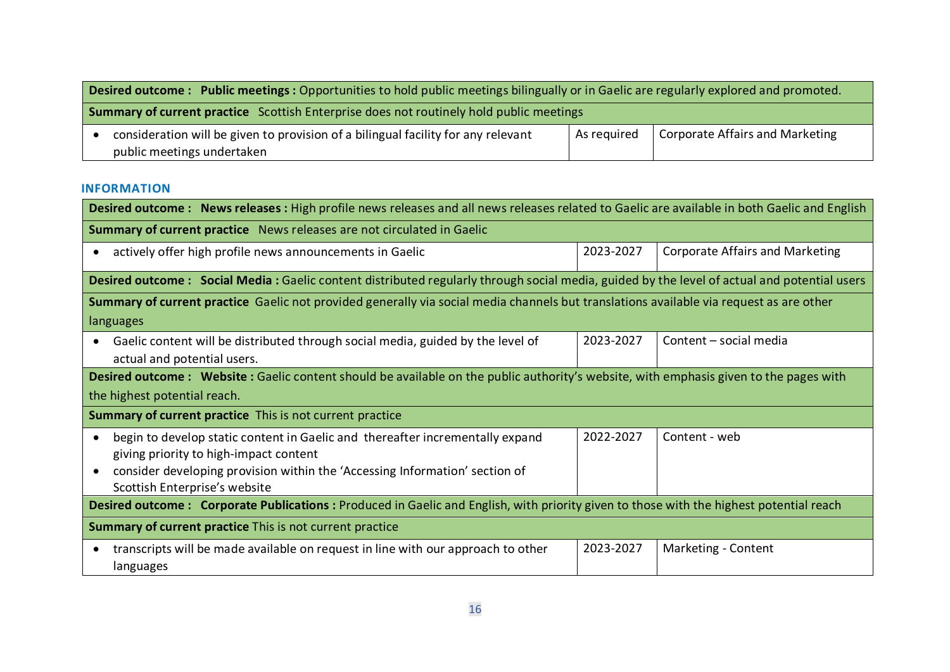| Desired outcome: Public meetings: Opportunities to hold public meetings bilingually or in Gaelic are regularly explored and promoted. |                                                                                   |             |                                 |
|---------------------------------------------------------------------------------------------------------------------------------------|-----------------------------------------------------------------------------------|-------------|---------------------------------|
| <b>Summary of current practice</b> Scottish Enterprise does not routinely hold public meetings                                        |                                                                                   |             |                                 |
|                                                                                                                                       | consideration will be given to provision of a bilingual facility for any relevant | As required | Corporate Affairs and Marketing |
|                                                                                                                                       | public meetings undertaken                                                        |             |                                 |

#### **INFORMATION**

| Desired outcome: News releases: High profile news releases and all news releases related to Gaelic are available in both Gaelic and English                                                                                                          |           |                                        |  |
|------------------------------------------------------------------------------------------------------------------------------------------------------------------------------------------------------------------------------------------------------|-----------|----------------------------------------|--|
| Summary of current practice News releases are not circulated in Gaelic                                                                                                                                                                               |           |                                        |  |
| actively offer high profile news announcements in Gaelic<br>$\bullet$                                                                                                                                                                                | 2023-2027 | <b>Corporate Affairs and Marketing</b> |  |
| Desired outcome: Social Media: Gaelic content distributed regularly through social media, guided by the level of actual and potential users                                                                                                          |           |                                        |  |
| Summary of current practice Gaelic not provided generally via social media channels but translations available via request as are other                                                                                                              |           |                                        |  |
| languages                                                                                                                                                                                                                                            |           |                                        |  |
| Gaelic content will be distributed through social media, guided by the level of<br>$\bullet$<br>actual and potential users.                                                                                                                          | 2023-2027 | Content – social media                 |  |
| Desired outcome: Website: Gaelic content should be available on the public authority's website, with emphasis given to the pages with                                                                                                                |           |                                        |  |
| the highest potential reach.                                                                                                                                                                                                                         |           |                                        |  |
| <b>Summary of current practice</b> This is not current practice                                                                                                                                                                                      |           |                                        |  |
| begin to develop static content in Gaelic and thereafter incrementally expand<br>$\bullet$<br>giving priority to high-impact content<br>consider developing provision within the 'Accessing Information' section of<br>Scottish Enterprise's website | 2022-2027 | Content - web                          |  |
| Desired outcome: Corporate Publications: Produced in Gaelic and English, with priority given to those with the highest potential reach                                                                                                               |           |                                        |  |
| <b>Summary of current practice</b> This is not current practice                                                                                                                                                                                      |           |                                        |  |
| transcripts will be made available on request in line with our approach to other<br>$\bullet$<br>languages                                                                                                                                           | 2023-2027 | Marketing - Content                    |  |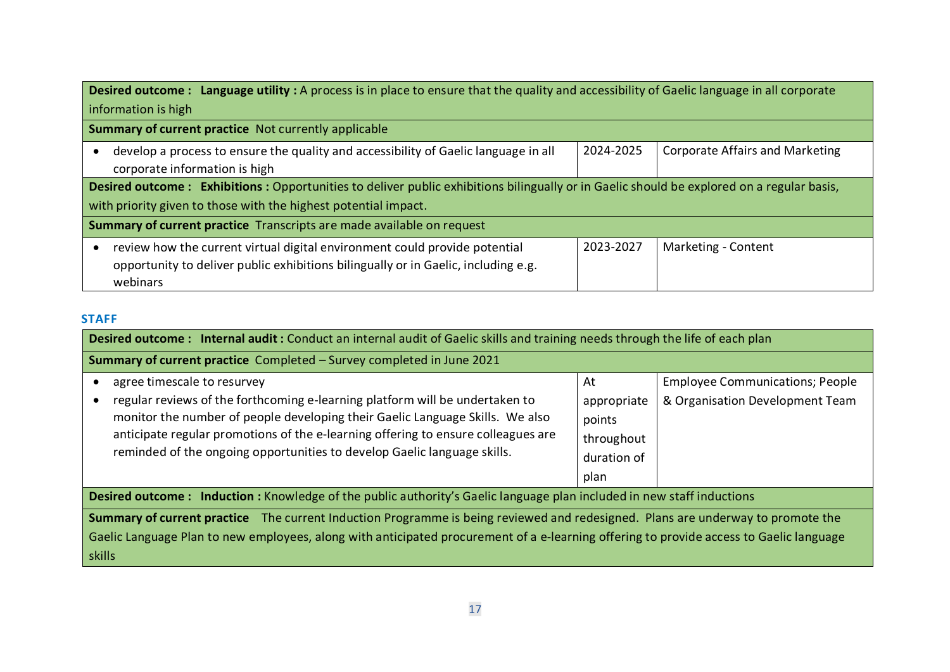| Desired outcome: Language utility: A process is in place to ensure that the quality and accessibility of Gaelic language in all corporate |           |                                 |  |
|-------------------------------------------------------------------------------------------------------------------------------------------|-----------|---------------------------------|--|
| information is high                                                                                                                       |           |                                 |  |
| <b>Summary of current practice</b> Not currently applicable                                                                               |           |                                 |  |
| develop a process to ensure the quality and accessibility of Gaelic language in all                                                       | 2024-2025 | Corporate Affairs and Marketing |  |
| corporate information is high                                                                                                             |           |                                 |  |
| Desired outcome: Exhibitions: Opportunities to deliver public exhibitions bilingually or in Gaelic should be explored on a regular basis, |           |                                 |  |
| with priority given to those with the highest potential impact.                                                                           |           |                                 |  |
| Summary of current practice Transcripts are made available on request                                                                     |           |                                 |  |
| review how the current virtual digital environment could provide potential                                                                | 2023-2027 | Marketing - Content             |  |
| opportunity to deliver public exhibitions bilingually or in Gaelic, including e.g.                                                        |           |                                 |  |
| webinars                                                                                                                                  |           |                                 |  |

#### **STAFF**

| Desired outcome: Internal audit: Conduct an internal audit of Gaelic skills and training needs through the life of each plan                                                                                                                                                                                                                                  |                                                                  |                                                                           |  |
|---------------------------------------------------------------------------------------------------------------------------------------------------------------------------------------------------------------------------------------------------------------------------------------------------------------------------------------------------------------|------------------------------------------------------------------|---------------------------------------------------------------------------|--|
| Summary of current practice Completed - Survey completed in June 2021                                                                                                                                                                                                                                                                                         |                                                                  |                                                                           |  |
| agree timescale to resurvey<br>regular reviews of the forthcoming e-learning platform will be undertaken to<br>monitor the number of people developing their Gaelic Language Skills. We also<br>anticipate regular promotions of the e-learning offering to ensure colleagues are<br>reminded of the ongoing opportunities to develop Gaelic language skills. | At<br>appropriate<br>points<br>throughout<br>duration of<br>plan | <b>Employee Communications; People</b><br>& Organisation Development Team |  |
| Desired outcome: Induction: Knowledge of the public authority's Gaelic language plan included in new staff inductions                                                                                                                                                                                                                                         |                                                                  |                                                                           |  |
| Summary of current practice The current Induction Programme is being reviewed and redesigned. Plans are underway to promote the<br>Gaelic Language Plan to new employees, along with anticipated procurement of a e-learning offering to provide access to Gaelic language<br><b>skills</b>                                                                   |                                                                  |                                                                           |  |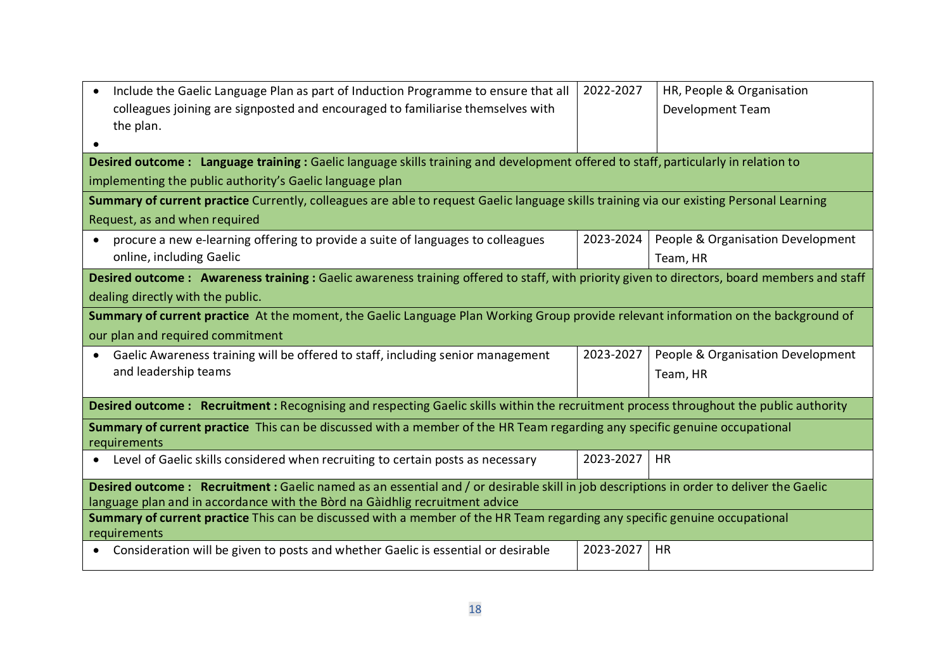| Include the Gaelic Language Plan as part of Induction Programme to ensure that all<br>colleagues joining are signposted and encouraged to familiarise themselves with<br>the plan.                                                                                                                                                        | 2022-2027 | HR, People & Organisation<br>Development Team |  |
|-------------------------------------------------------------------------------------------------------------------------------------------------------------------------------------------------------------------------------------------------------------------------------------------------------------------------------------------|-----------|-----------------------------------------------|--|
| Desired outcome: Language training: Gaelic language skills training and development offered to staff, particularly in relation to<br>implementing the public authority's Gaelic language plan<br>Summary of current practice Currently, colleagues are able to request Gaelic language skills training via our existing Personal Learning |           |                                               |  |
| Request, as and when required                                                                                                                                                                                                                                                                                                             |           |                                               |  |
| procure a new e-learning offering to provide a suite of languages to colleagues<br>$\bullet$<br>online, including Gaelic                                                                                                                                                                                                                  | 2023-2024 | People & Organisation Development<br>Team, HR |  |
| Desired outcome: Awareness training: Gaelic awareness training offered to staff, with priority given to directors, board members and staff<br>dealing directly with the public.                                                                                                                                                           |           |                                               |  |
| Summary of current practice At the moment, the Gaelic Language Plan Working Group provide relevant information on the background of<br>our plan and required commitment                                                                                                                                                                   |           |                                               |  |
| Gaelic Awareness training will be offered to staff, including senior management<br>and leadership teams                                                                                                                                                                                                                                   | 2023-2027 | People & Organisation Development<br>Team, HR |  |
| Desired outcome: Recruitment: Recognising and respecting Gaelic skills within the recruitment process throughout the public authority                                                                                                                                                                                                     |           |                                               |  |
| Summary of current practice This can be discussed with a member of the HR Team regarding any specific genuine occupational<br>requirements                                                                                                                                                                                                |           |                                               |  |
| Level of Gaelic skills considered when recruiting to certain posts as necessary                                                                                                                                                                                                                                                           | 2023-2027 | <b>HR</b>                                     |  |
| Desired outcome: Recruitment: Gaelic named as an essential and / or desirable skill in job descriptions in order to deliver the Gaelic<br>language plan and in accordance with the Bord na Gaidhlig recruitment advice                                                                                                                    |           |                                               |  |
| Summary of current practice This can be discussed with a member of the HR Team regarding any specific genuine occupational<br>requirements                                                                                                                                                                                                |           |                                               |  |
| Consideration will be given to posts and whether Gaelic is essential or desirable                                                                                                                                                                                                                                                         | 2023-2027 | <b>HR</b>                                     |  |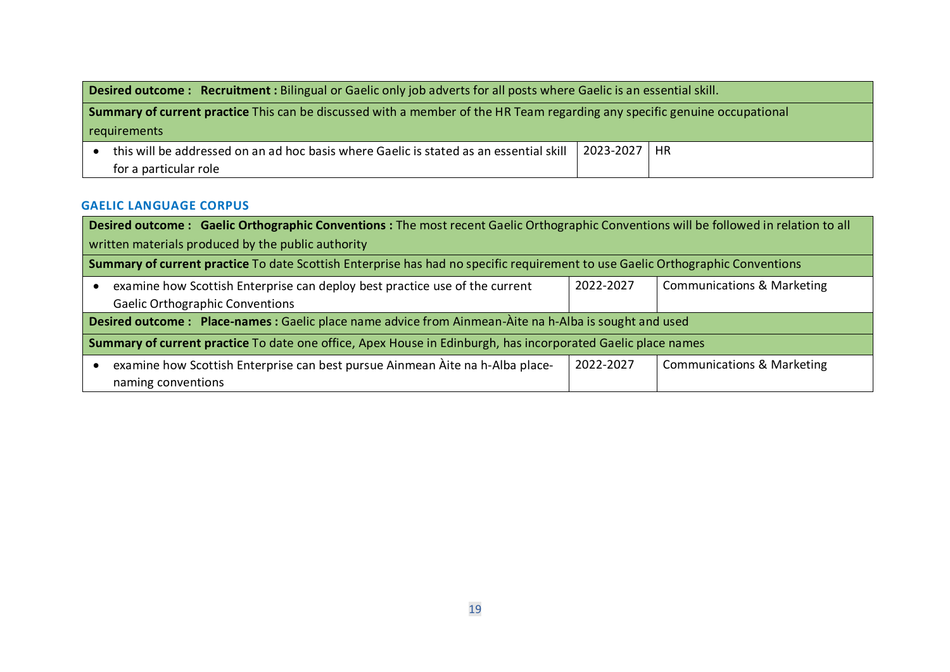| Desired outcome: Recruitment: Bilingual or Gaelic only job adverts for all posts where Gaelic is an essential skill.       |                                                                                        |           |      |
|----------------------------------------------------------------------------------------------------------------------------|----------------------------------------------------------------------------------------|-----------|------|
| Summary of current practice This can be discussed with a member of the HR Team regarding any specific genuine occupational |                                                                                        |           |      |
| requirements                                                                                                               |                                                                                        |           |      |
|                                                                                                                            | this will be addressed on an ad hoc basis where Gaelic is stated as an essential skill | 2023-2027 | ' HR |
|                                                                                                                            | for a particular role                                                                  |           |      |

#### **GAELIC LANGUAGE CORPUS**

| Desired outcome: Gaelic Orthographic Conventions: The most recent Gaelic Orthographic Conventions will be followed in relation to all |           |                                       |  |
|---------------------------------------------------------------------------------------------------------------------------------------|-----------|---------------------------------------|--|
| written materials produced by the public authority                                                                                    |           |                                       |  |
| Summary of current practice To date Scottish Enterprise has had no specific requirement to use Gaelic Orthographic Conventions        |           |                                       |  |
| examine how Scottish Enterprise can deploy best practice use of the current                                                           | 2022-2027 | <b>Communications &amp; Marketing</b> |  |
| <b>Gaelic Orthographic Conventions</b>                                                                                                |           |                                       |  |
| Desired outcome: Place-names: Gaelic place name advice from Ainmean-Aite na h-Alba is sought and used                                 |           |                                       |  |
| Summary of current practice To date one office, Apex House in Edinburgh, has incorporated Gaelic place names                          |           |                                       |  |
| examine how Scottish Enterprise can best pursue Ainmean Aite na h-Alba place-                                                         | 2022-2027 | <b>Communications &amp; Marketing</b> |  |
| naming conventions                                                                                                                    |           |                                       |  |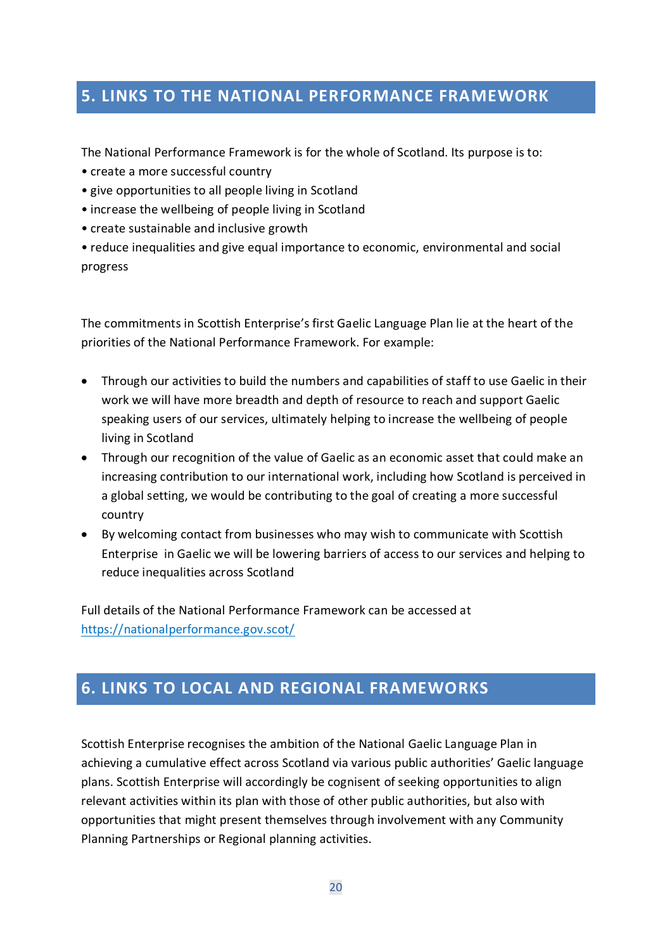### <span id="page-19-0"></span>**5. LINKS TO THE NATIONAL PERFORMANCE FRAMEWORK**

The National Performance Framework is for the whole of Scotland. Its purpose is to:

- create a more successful country
- give opportunities to all people living in Scotland
- increase the wellbeing of people living in Scotland
- create sustainable and inclusive growth

• reduce inequalities and give equal importance to economic, environmental and social progress

The commitments in Scottish Enterprise's first Gaelic Language Plan lie at the heart of the priorities of the National Performance Framework. For example:

- Through our activities to build the numbers and capabilities of staff to use Gaelic in their work we will have more breadth and depth of resource to reach and support Gaelic speaking users of our services, ultimately helping to increase the wellbeing of people living in Scotland
- Through our recognition of the value of Gaelic as an economic asset that could make an increasing contribution to our international work, including how Scotland is perceived in a global setting, we would be contributing to the goal of creating a more successful country
- By welcoming contact from businesses who may wish to communicate with Scottish Enterprise in Gaelic we will be lowering barriers of access to our services and helping to reduce inequalities across Scotland

Full details of the National Performance Framework can be accessed at <https://nationalperformance.gov.scot/>

# <span id="page-19-1"></span>**6. LINKS TO LOCAL AND REGIONAL FRAMEWORKS**

Scottish Enterprise recognises the ambition of the National Gaelic Language Plan in achieving a cumulative effect across Scotland via various public authorities' Gaelic language plans. Scottish Enterprise will accordingly be cognisent of seeking opportunities to align relevant activities within its plan with those of other public authorities, but also with opportunities that might present themselves through involvement with any Community Planning Partnerships or Regional planning activities.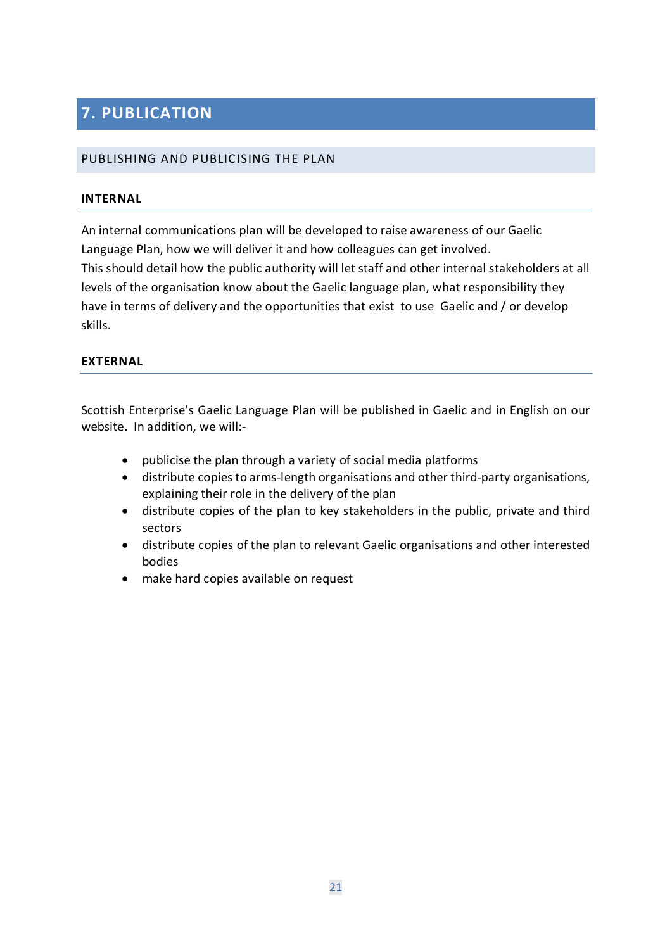# <span id="page-20-0"></span>**7. PUBLICATION**

#### <span id="page-20-1"></span>PUBLISHING AND PUBLICISING THE PLAN

#### <span id="page-20-2"></span>**INTERNAL**

An internal communications plan will be developed to raise awareness of our Gaelic Language Plan, how we will deliver it and how colleagues can get involved.

This should detail how the public authority will let staff and other internal stakeholders at all levels of the organisation know about the Gaelic language plan, what responsibility they have in terms of delivery and the opportunities that exist to use Gaelic and / or develop skills.

#### <span id="page-20-3"></span>**EXTERNAL**

Scottish Enterprise's Gaelic Language Plan will be published in Gaelic and in English on our website. In addition, we will:-

- publicise the plan through a variety of social media platforms
- distribute copies to arms-length organisations and other third-party organisations, explaining their role in the delivery of the plan
- distribute copies of the plan to key stakeholders in the public, private and third sectors
- distribute copies of the plan to relevant Gaelic organisations and other interested bodies
- make hard copies available on request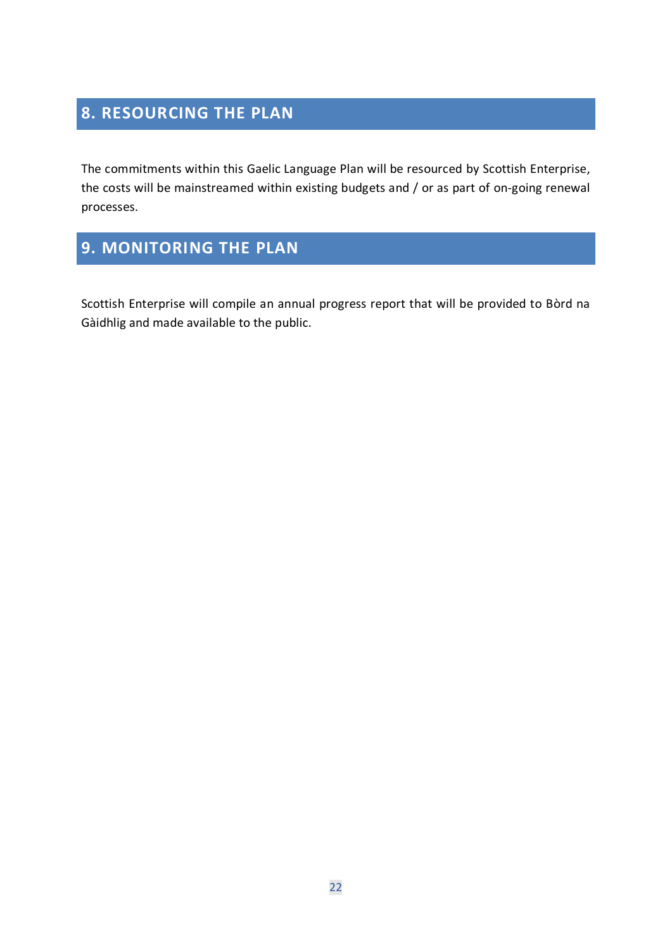# <span id="page-21-0"></span>**8. RESOURCING THE PLAN**

The commitments within this Gaelic Language Plan will be resourced by Scottish Enterprise, the costs will be mainstreamed within existing budgets and / or as part of on-going renewal processes.

# <span id="page-21-1"></span>**9. MONITORING THE PLAN**

**SOURCING THE PLANE** 

Scottish Enterprise will compile an annual progress report that will be provided to Bòrd na Gàidhlig and made available to the public.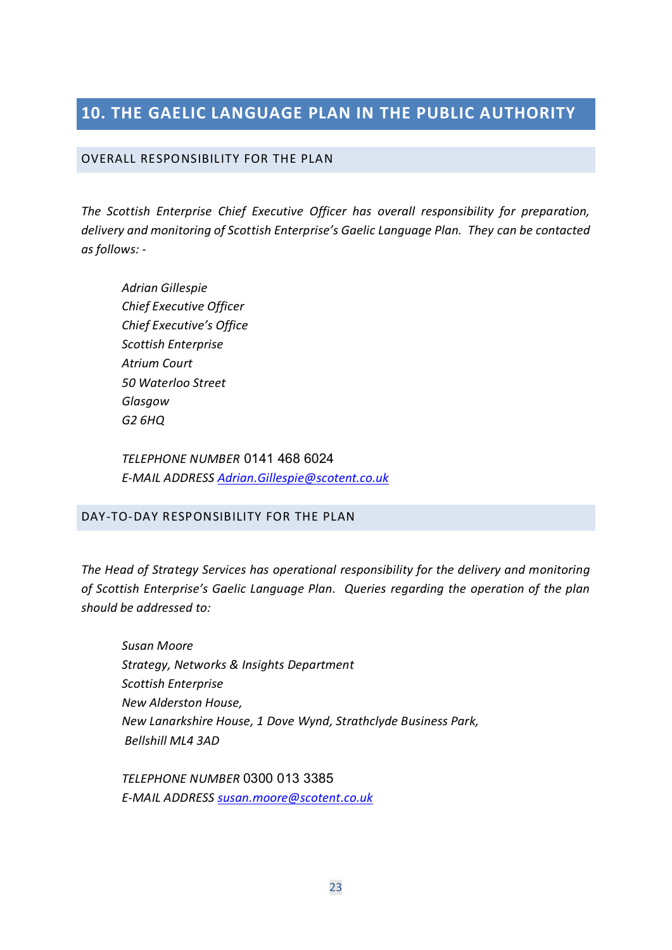### <span id="page-22-0"></span>**10. THE GAELIC LANGUAGE PLAN IN THE PUBLIC AUTHORITY**

#### <span id="page-22-1"></span>OVERALL RESPONSIBILITY FOR THE PLAN

*The Scottish Enterprise Chief Executive Officer has overall responsibility for preparation, delivery and monitoring of Scottish Enterprise's Gaelic Language Plan. They can be contacted as follows: -*

*Adrian Gillespie Chief Executive Officer Chief Executive's Office Scottish Enterprise Atrium Court 50 Waterloo Street Glasgow G2 6HQ*

*TELEPHONE NUMBER* 0141 468 6024 *E-MAIL ADDRESS [Adrian.Gillespie@scotent.co.uk](mailto:Adrian.Gillespie@scotent.co.uk)*

#### <span id="page-22-2"></span>DAY-TO-DAY RESPONSIBILITY FOR THE PLAN

*The Head of Strategy Services has operational responsibility for the delivery and monitoring of Scottish Enterprise's Gaelic Language Plan. Queries regarding the operation of the plan should be addressed to:*

*Susan Moore Strategy, Networks & Insights Department Scottish Enterprise New Alderston House, New Lanarkshire House, 1 Dove Wynd, Strathclyde Business Park, Bellshill ML4 3AD*

*TELEPHONE NUMBER* 0300 013 3385 *E-MAIL ADDRESS [susan.moore@scotent.co.uk](mailto:susan.moore@scotent.co.uk)*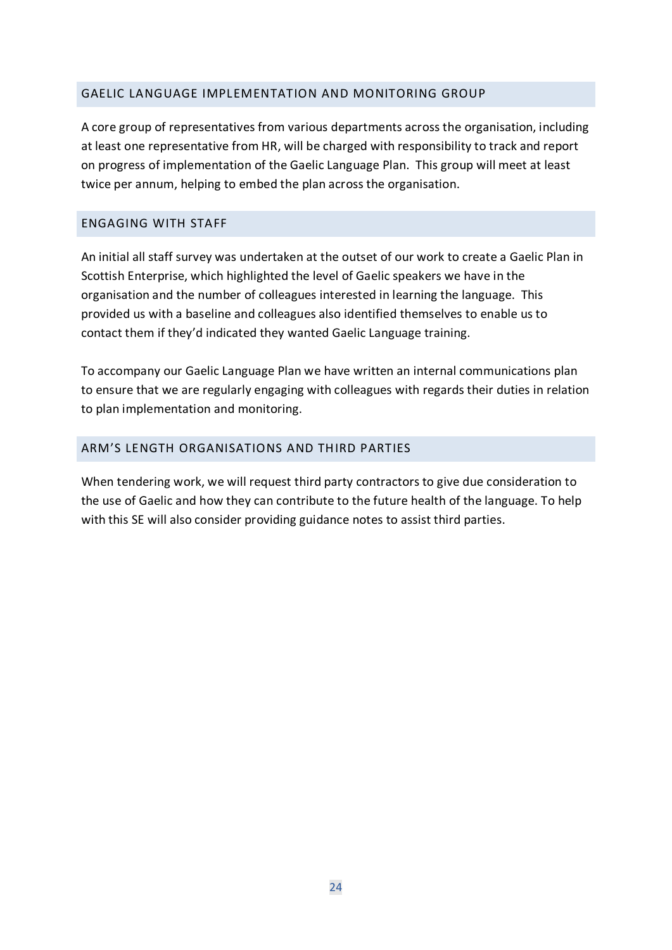#### <span id="page-23-0"></span>GAELIC LANGUAGE IMPLEMENTATION AND MONITORING GROUP

A core group of representatives from various departments across the organisation, including at least one representative from HR, will be charged with responsibility to track and report on progress of implementation of the Gaelic Language Plan. This group will meet at least twice per annum, helping to embed the plan across the organisation.

#### <span id="page-23-1"></span>ENGAGING WITH STAFF

An initial all staff survey was undertaken at the outset of our work to create a Gaelic Plan in Scottish Enterprise, which highlighted the level of Gaelic speakers we have in the organisation and the number of colleagues interested in learning the language. This provided us with a baseline and colleagues also identified themselves to enable us to contact them if they'd indicated they wanted Gaelic Language training.

To accompany our Gaelic Language Plan we have written an internal communications plan to ensure that we are regularly engaging with colleagues with regards their duties in relation to plan implementation and monitoring.

#### <span id="page-23-2"></span>ARM'S LENGTH ORGANISATIONS AND THIRD PARTIES

When tendering work, we will request third party contractors to give due consideration to the use of Gaelic and how they can contribute to the future health of the language. To help with this SE will also consider providing guidance notes to assist third parties.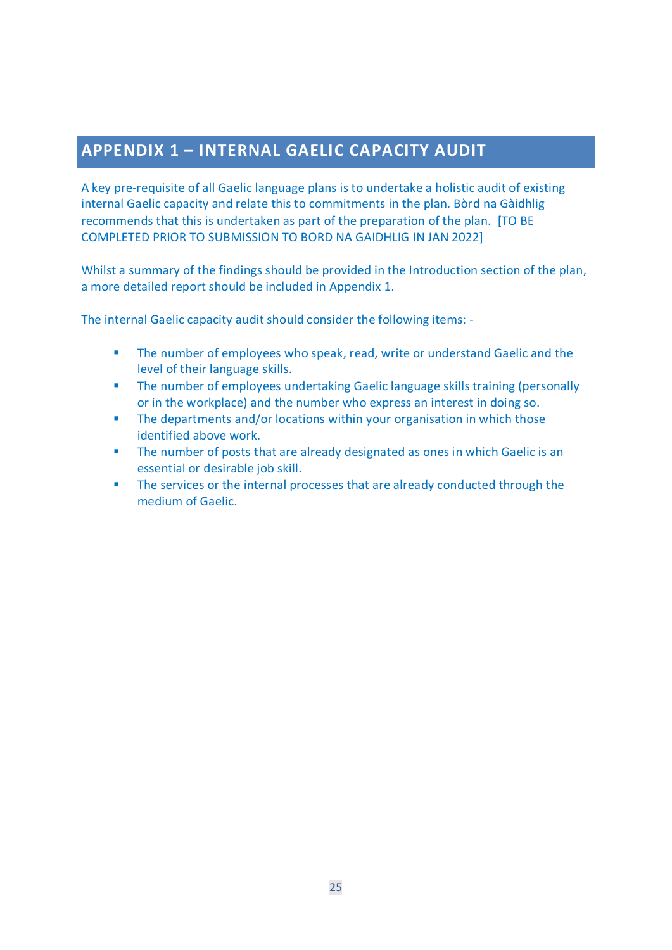### <span id="page-24-0"></span>**APPENDIX 1 – INTERNAL GAELIC CAPACITY AUDIT**

A key pre-requisite of all Gaelic language plans is to undertake a holistic audit of existing internal Gaelic capacity and relate this to commitments in the plan. Bòrd na Gàidhlig recommends that this is undertaken as part of the preparation of the plan. [TO BE COMPLETED PRIOR TO SUBMISSION TO BORD NA GAIDHLIG IN JAN 2022]

Whilst a summary of the findings should be provided in the Introduction section of the plan, a more detailed report should be included in Appendix 1.

The internal Gaelic capacity audit should consider the following items: -

- The number of employees who speak, read, write or understand Gaelic and the level of their language skills.
- The number of employees undertaking Gaelic language skills training (personally or in the workplace) and the number who express an interest in doing so.
- **The departments and/or locations within your organisation in which those** identified above work.
- **The number of posts that are already designated as ones in which Gaelic is an** essential or desirable job skill.
- **The services or the internal processes that are already conducted through the** medium of Gaelic.